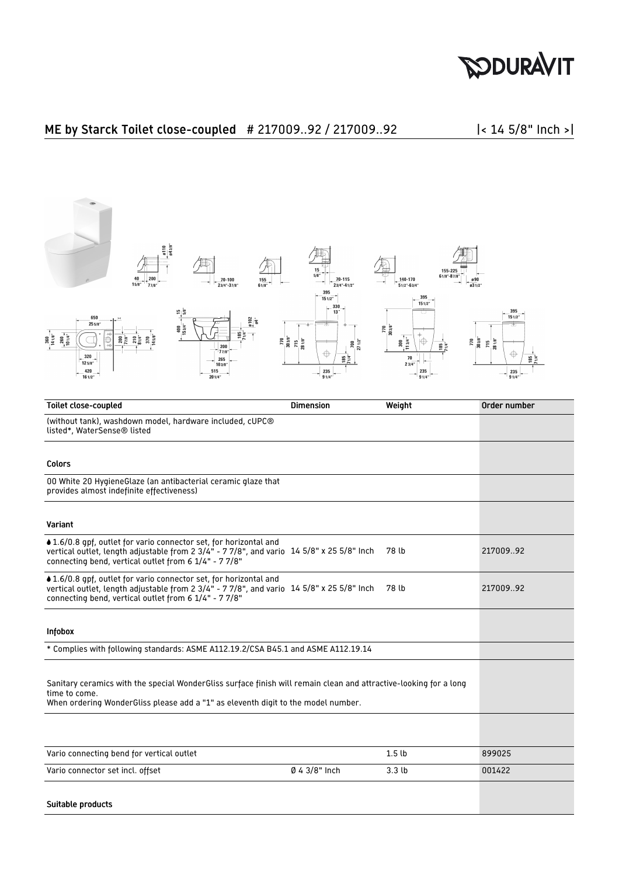

## ME by Starck Toilet close-coupled # 217009..92 / 217009..92 |< 14 5/8" Inch >|



| <b>Toilet close-coupled</b>                                                                                                                                                                                             | <b>Dimension</b> | Weight           | Order number |
|-------------------------------------------------------------------------------------------------------------------------------------------------------------------------------------------------------------------------|------------------|------------------|--------------|
| (without tank), washdown model, hardware included, cUPC®<br>listed*, WaterSense® listed                                                                                                                                 |                  |                  |              |
| <b>Colors</b>                                                                                                                                                                                                           |                  |                  |              |
| 00 White 20 Hygiene Glaze (an antibacterial ceramic glaze that<br>provides almost indefinite effectiveness)                                                                                                             |                  |                  |              |
| Variant                                                                                                                                                                                                                 |                  |                  |              |
| ♦ 1.6/0.8 gpf, outlet for vario connector set, for horizontal and<br>vertical outlet, length adjustable from 2 3/4" - 7 7/8", and vario 14 5/8" x 25 5/8" Inch<br>connecting bend, vertical outlet from 6 1/4" - 7 7/8" |                  | 78 lb            | 217009.92    |
| ♦ 1.6/0.8 gpf, outlet for vario connector set, for horizontal and<br>vertical outlet, length adjustable from 2 3/4" - 7 7/8", and vario 14 5/8" x 25 5/8" Inch<br>connecting bend, vertical outlet from 6 1/4" - 7 7/8" |                  | 78 lb            | 217009.92    |
| Infobox                                                                                                                                                                                                                 |                  |                  |              |
| * Complies with following standards: ASME A112.19.2/CSA B45.1 and ASME A112.19.14                                                                                                                                       |                  |                  |              |
| Sanitary ceramics with the special WonderGliss surface finish will remain clean and attractive-looking for a long<br>time to come.<br>When ordering WonderGliss please add a "1" as eleventh digit to the model number. |                  |                  |              |
|                                                                                                                                                                                                                         |                  |                  |              |
| Vario connecting bend for vertical outlet                                                                                                                                                                               |                  | 1.5 <sub>b</sub> | 899025       |
| Vario connector set incl. offset                                                                                                                                                                                        | $Ø$ 4 3/8" Inch  | 3.3 <sub>b</sub> | 001422       |
| Suitable products                                                                                                                                                                                                       |                  |                  |              |